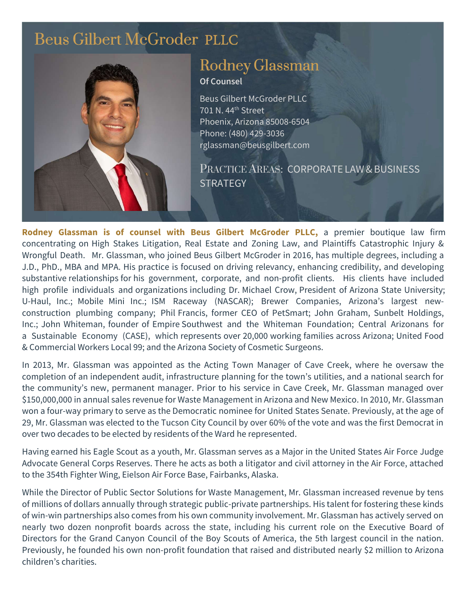# [Beus Gilbert McGroder](https://beusgilbert.com/) PLLC



# [Rodney Glassman](https://beusgilbert.com/team/rodney-glassman/)  Of Counsel

Beus Gilbert McGroder PLLC 701 N. 44th Street Phoenix, Arizona 85008-6504 Phone: (480) 429-3036 rglassman@beusgilbert.com

PRACTICE AREAS: CORPORATE LAW&BUSINESS **STRATEGY** 

Rodney Glassman is **of counsel with** Beus Gilbert McGroder **PLLC**, a premier boutique law firm concentrating on High Stakes Litigation, Real Estate and Zoning Law, and Plaintiffs Catastrophic Injury & Wrongful Death. Mr. Glassman, who joined Beus Gilbert McGroder in 2016, has multiple degrees, including a J.D., PhD., MBA and MPA. His practice is focused on driving relevancy, enhancing credibility, and developing substantive relationships for his government, corporate, and non-profit clients. His clients have included high profile individuals and organizations including Dr. Michael Crow, President of Arizona State University; U-Haul, Inc.; Mobile Mini Inc.; ISM Raceway (NASCAR); Brewer Companies, Arizona's largest newconstruction plumbing company; Phil Francis, former CEO of PetSmart; John Graham, Sunbelt Holdings, Inc.; John Whiteman, founder of Empire Southwest and the Whiteman Foundation; Central Arizonans for a Sustainable Economy (CASE), which represents over 20,000 working families across Arizona; United Food & Commercial Workers Local 99; and the Arizona Society of Cosmetic Surgeons.

In 2013, Mr. Glassman was appointed as the Acting Town Manager of Cave Creek, where he oversaw the completion of an independent audit, infrastructure planning for the town's utilities, and a national search for the community's new, permanent manager. Prior to his service in Cave Creek, Mr. Glassman managed over \$150,000,000 in annual sales revenue for Waste Management in Arizona and New Mexico. In 2010, Mr. Glassman won a four-way primary to serve as the Democratic nominee for United States Senate. Previously, at the age of 29, Mr. Glassman was elected to the Tucson City Council by over 60% of the vote and was the first Democrat in over two decades to be elected by residents of the Ward he represented.

Having earned his Eagle Scout as a youth, Mr. Glassman serves as a Major in the United States Air Force Judge Advocate General Corps Reserves. There he acts as both a litigator and civil attorney in the Air Force, attached to the 354th Fighter Wing, Eielson Air Force Base, Fairbanks, Alaska.

While the Director of Public Sector Solutions for Waste Management, Mr. Glassman increased revenue by tens of millions of dollars annually through strategic public-private partnerships. His talent for fostering these kinds of win-win partnerships also comes from his own community involvement. Mr. Glassman has actively served on nearly two dozen nonprofit boards across the state, including his current role on the Executive Board of Directors for the Grand Canyon Council of the Boy Scouts of America, the 5th largest council in the nation. Previously, he founded his own non-profit foundation that raised and distributed nearly \$2 million to Arizona children's charities.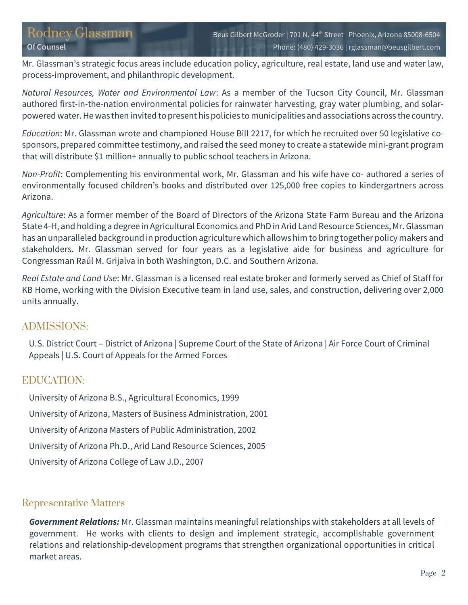Mr. Glassman's strategic focus areas include education policy, agriculture, real estate, land use and water law, process-improvement, and philanthropic development.

Natural Resources, Water and Environmental Law: As a member of the Tucson City Council, Mr. Glassman authored first-in-the-nation environmental policies for rainwater harvesting, gray water plumbing, and solarpowered water. He was then invited to present his policies to municipalities and associations across the country.

Education: Mr. Glassman wrote and championed House Bill 2217, for which he recruited over 50 legislative cosponsors, prepared committee testimony, and raised the seed money to create a statewide mini-grant program that will distribute \$1 million+ annually to public school teachers in Arizona.

Non-Profit: Complementing his environmental work, Mr. Glassman and his wife have co- authored a series of environmentally focused children's books and distributed over 125,000 free copies to kindergartners across Arizona.

Agriculture: As a former member of the Board of Directors of the Arizona State Farm Bureau and the Arizona State 4-H, and holding a degree in Agricultural Economics and PhD in Arid Land Resource Sciences, Mr. Glassman has an unparalleled background in production agriculture which allows him to bring together policy makers and stakeholders. Mr. Glassman served for four years as a legislative aide for business and agriculture for Congressman Raúl M. Grijalva in both Washington, D.C. and Southern Arizona.

Real Estate and Land Use: Mr. Glassman is a licensed real estate broker and formerly served as Chief of Staff for KB Home, working with the Division Executive team in land use, sales, and construction, delivering over 2,000 units annually.

## ADMISSIONS:

U.S. District Court – District of Arizona | Supreme Court of the State of Arizona | Air Force Court of Criminal Appeals | U.S. Court of Appeals for the Armed Forces

#### EDUCATION:

University of Arizona B.S., Agricultural Economics, 1999 University of Arizona, Masters of Business Administration, 2001 University of Arizona Masters of Public Administration, 2002 University of Arizona Ph.D., Arid Land Resource Sciences, 2005 University of Arizona College of Law J.D., 2007

## Representative Matters

Government Relations: Mr. Glassman maintains meaningful relationships with stakeholders at all levels of government. He works with clients to design and implement strategic, accomplishable government relations and relationship-development programs that strengthen organizational opportunities in critical market areas.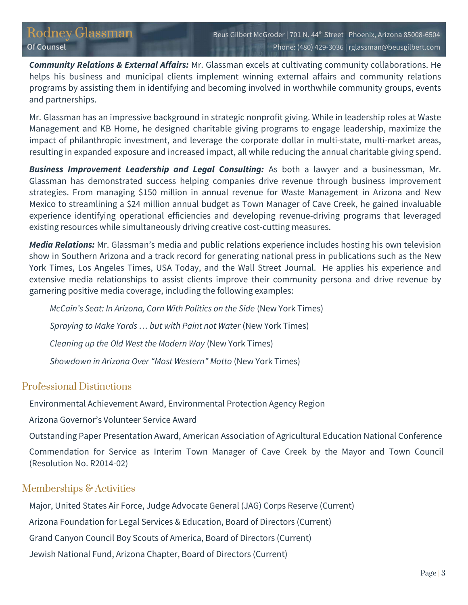**Community Relations & External Affairs:** Mr. Glassman excels at cultivating community collaborations. He helps his business and municipal clients implement winning external affairs and community relations programs by assisting them in identifying and becoming involved in worthwhile community groups, events and partnerships.

Mr. Glassman has an impressive background in strategic nonprofit giving. While in leadership roles at Waste Management and KB Home, he designed charitable giving programs to engage leadership, maximize the impact of philanthropic investment, and leverage the corporate dollar in multi-state, multi-market areas, resulting in expanded exposure and increased impact, all while reducing the annual charitable giving spend.

**Business Improvement Leadership and Legal Consulting:** As both a lawyer and a businessman, Mr. Glassman has demonstrated success helping companies drive revenue through business improvement strategies. From managing \$150 million in annual revenue for Waste Management in Arizona and New Mexico to streamlining a \$24 million annual budget as Town Manager of Cave Creek, he gained invaluable experience identifying operational efficiencies and developing revenue-driving programs that leveraged existing resources while simultaneously driving creative cost-cutting measures.

Media Relations: Mr. Glassman's media and public relations experience includes hosting his own television show in Southern Arizona and a track record for generating national press in publications such as the New York Times, Los Angeles Times, USA Today, and the Wall Street Journal. He applies his experience and extensive media relationships to assist clients improve their community persona and drive revenue by garnering positive media coverage, including the following examples:

McCain's Seat: In Arizona, Corn With Politics on the Side (New York Times) Spraying to Make Yards … but with Paint not Water (New York Times) Cleaning up the Old West the Modern Way (New York Times) Showdown in Arizona Over "Most Western" Motto (New York Times)

## Professional Distinctions

Environmental Achievement Award, Environmental Protection Agency Region

Arizona Governor's Volunteer Service Award

Outstanding Paper Presentation Award, American Association of Agricultural Education National Conference

Commendation for Service as Interim Town Manager of Cave Creek by the Mayor and Town Council (Resolution No. R2014-02)

## Memberships & Activities

Major, United States Air Force, Judge Advocate General (JAG) Corps Reserve (Current)

Arizona Foundation for Legal Services & Education, Board of Directors (Current)

Grand Canyon Council Boy Scouts of America, Board of Directors (Current)

Jewish National Fund, Arizona Chapter, Board of Directors (Current)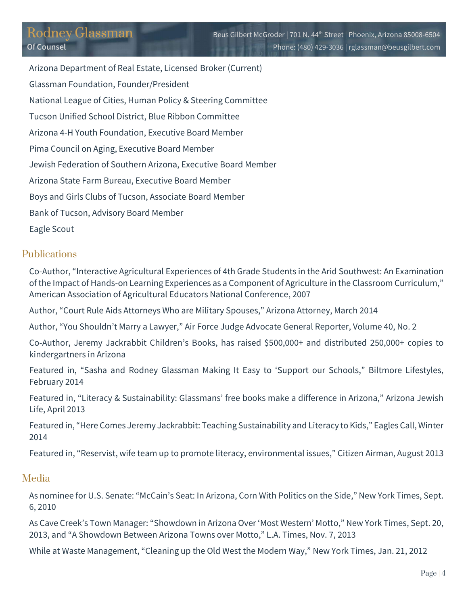Arizona Department of Real Estate, Licensed Broker (Current) Glassman Foundation, Founder/President National League of Cities, Human Policy & Steering Committee Tucson Unified School District, Blue Ribbon Committee Arizona 4-H Youth Foundation, Executive Board Member Pima Council on Aging, Executive Board Member Jewish Federation of Southern Arizona, Executive Board Member Arizona State Farm Bureau, Executive Board Member Boys and Girls Clubs of Tucson, Associate Board Member Bank of Tucson, Advisory Board Member Eagle Scout

#### Publications

Co-Author, "Interactive Agricultural Experiences of 4th Grade Students in the Arid Southwest: An Examination of the Impact of Hands-on Learning Experiences as a Component of Agriculture in the Classroom Curriculum," American Association of Agricultural Educators National Conference, 2007

Author, "Court Rule Aids Attorneys Who are Military Spouses," Arizona Attorney, March 2014

Author, "You Shouldn't Marry a Lawyer," Air Force Judge Advocate General Reporter, Volume 40, No. 2

Co-Author, Jeremy Jackrabbit Children's Books, has raised \$500,000+ and distributed 250,000+ copies to kindergartners in Arizona

Featured in, "Sasha and Rodney Glassman Making It Easy to 'Support our Schools," Biltmore Lifestyles, February 2014

Featured in, "Literacy & Sustainability: Glassmans' free books make a difference in Arizona," Arizona Jewish Life, April 2013

Featured in, "Here Comes Jeremy Jackrabbit: Teaching Sustainability and Literacy to Kids," Eagles Call, Winter 2014

Featured in, "Reservist, wife team up to promote literacy, environmental issues," Citizen Airman, August 2013

#### Media

As nominee for U.S. Senate: "McCain's Seat: In Arizona, Corn With Politics on the Side," New York Times, Sept. 6, 2010

As Cave Creek's Town Manager: "Showdown in Arizona Over 'Most Western' Motto," New York Times, Sept. 20, 2013, and "A Showdown Between Arizona Towns over Motto," L.A. Times, Nov. 7, 2013

While at Waste Management, "Cleaning up the Old West the Modern Way," New York Times, Jan. 21, 2012